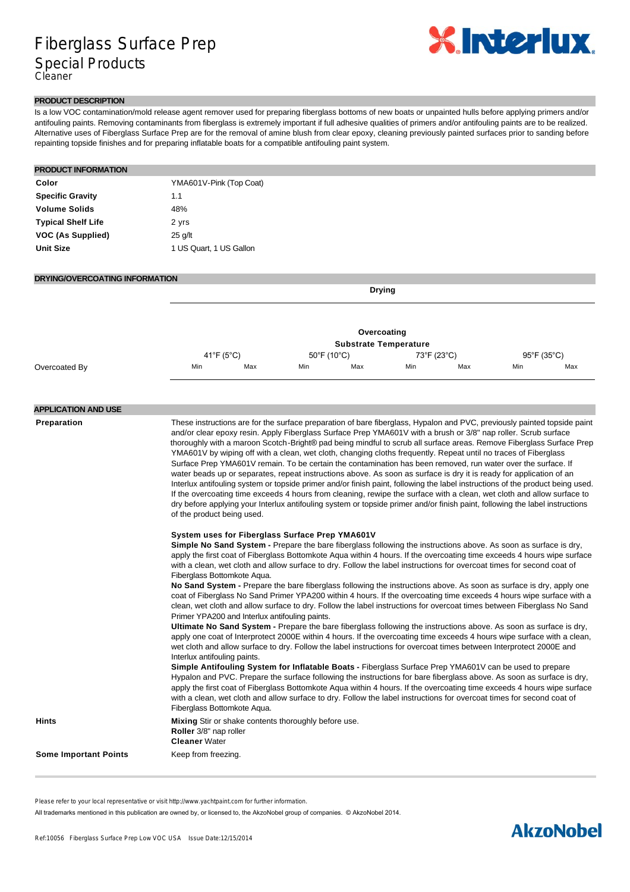## Fiberglass Surface Prep Special Products Cleaner



#### **PRODUCT DESCRIPTION**

Is a low VOC contamination/mold release agent remover used for preparing fiberglass bottoms of new boats or unpainted hulls before applying primers and/or antifouling paints. Removing contaminants from fiberglass is extremely important if full adhesive qualities of primers and/or antifouling paints are to be realized. Alternative uses of Fiberglass Surface Prep are for the removal of amine blush from clear epoxy, cleaning previously painted surfaces prior to sanding before repainting topside finishes and for preparing inflatable boats for a compatible antifouling paint system.

| <b>PRODUCT INFORMATION</b> |                         |  |
|----------------------------|-------------------------|--|
| Color                      | YMA601V-Pink (Top Coat) |  |
| <b>Specific Gravity</b>    | 1.1                     |  |
| <b>Volume Solids</b>       | 48%                     |  |
| <b>Typical Shelf Life</b>  | 2 yrs                   |  |
| VOC (As Supplied)          | 25 g/lt                 |  |
| <b>Unit Size</b>           | 1 US Quart, 1 US Gallon |  |
|                            |                         |  |

#### **DRYING/OVERCOATING INFORMATION**

**Drying**

|               |                              | Overcoating |                                  |     |             |     |                                  |     |  |
|---------------|------------------------------|-------------|----------------------------------|-----|-------------|-----|----------------------------------|-----|--|
|               | <b>Substrate Temperature</b> |             |                                  |     |             |     |                                  |     |  |
|               | 41°F (5°C)                   |             | $50^{\circ}$ F (10 $^{\circ}$ C) |     | 73°F (23°C) |     | $95^{\circ}$ F (35 $^{\circ}$ C) |     |  |
| Overcoated By | Min                          | Max         | Min                              | Max | Min         | Max | Min                              | Max |  |

### **APPLICATION AND USE**

**Preparation** These instructions are for the surface preparation of bare fiberglass, Hypalon and PVC, previously painted topside paint and/or clear epoxy resin. Apply Fiberglass Surface Prep YMA601V with a brush or 3/8" nap roller. Scrub surface thoroughly with a maroon Scotch-Bright® pad being mindful to scrub all surface areas. Remove Fiberglass Surface Prep YMA601V by wiping off with a clean, wet cloth, changing cloths frequently. Repeat until no traces of Fiberglass Surface Prep YMA601V remain. To be certain the contamination has been removed, run water over the surface. If water beads up or separates, repeat instructions above. As soon as surface is dry it is ready for application of an Interlux antifouling system or topside primer and/or finish paint, following the label instructions of the product being used. If the overcoating time exceeds 4 hours from cleaning, rewipe the surface with a clean, wet cloth and allow surface to dry before applying your Interlux antifouling system or topside primer and/or finish paint, following the label instructions of the product being used.

#### **System uses for Fiberglass Surface Prep YMA601V**

**Simple No Sand System -** Prepare the bare fiberglass following the instructions above. As soon as surface is dry, apply the first coat of Fiberglass Bottomkote Aqua within 4 hours. If the overcoating time exceeds 4 hours wipe surface with a clean, wet cloth and allow surface to dry. Follow the label instructions for overcoat times for second coat of Fiberglass Bottomkote Aqua.

**No Sand System -** Prepare the bare fiberglass following the instructions above. As soon as surface is dry, apply one coat of Fiberglass No Sand Primer YPA200 within 4 hours. If the overcoating time exceeds 4 hours wipe surface with a clean, wet cloth and allow surface to dry. Follow the label instructions for overcoat times between Fiberglass No Sand Primer YPA200 and Interlux antifouling paints.

**Ultimate No Sand System -** Prepare the bare fiberglass following the instructions above. As soon as surface is dry, apply one coat of Interprotect 2000E within 4 hours. If the overcoating time exceeds 4 hours wipe surface with a clean, wet cloth and allow surface to dry. Follow the label instructions for overcoat times between Interprotect 2000E and Interlux antifouling paints.

**Simple Antifouling System for Inflatable Boats -** Fiberglass Surface Prep YMA601V can be used to prepare Hypalon and PVC. Prepare the surface following the instructions for bare fiberglass above. As soon as surface is dry, apply the first coat of Fiberglass Bottomkote Aqua within 4 hours. If the overcoating time exceeds 4 hours wipe surface with a clean, wet cloth and allow surface to dry. Follow the label instructions for overcoat times for second coat of Fiberglass Bottomkote Aqua.

**Hints Mixing** Stir or shake contents thoroughly before use. **Roller** 3/8" nap roller **Cleaner** Water

**Some Important Points** Keep from freezing

Please refer to your local representative or visit http://www.yachtpaint.com for further information.

All trademarks mentioned in this publication are owned by, or licensed to, the AkzoNobel group of companies. © AkzoNobel 2014.

## **AkzoNobel**